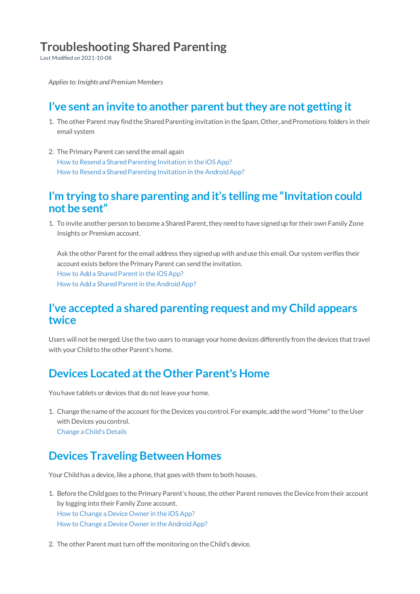# **Troubleshooting Shared Parenting**

Last Modified on 2021-10-08

*Appliesto: Insights and Premium Members*

### **I've sent an invite to another parent butthey are not getting it**

- 1. The other Parent may find the Shared Parenting invitation in the Spam, Other, and Promotions folders in their email system
- 2. The Primary Parent can send the email again How to Resend a Shared Parenting Invitation in the iOS App? How to Resend a Shared Parenting Invitation in the Android App?

#### **I'm trying to share parenting and it's telling me "Invitation could not be sent"**

1. To invite another person to become a Shared Parent, they need to have signed up for their own Family Zone Insights or Premium account.

Ask the other Parent for the email address they signed up with and use this email. Our system verifies their account exists before the Primary Parent can send the invitation. How to Add a Shared Parent in the iOS App? How to Add a Shared Parent in the Android App?

#### **I've accepted a shared parenting request and my Child appears twice**

Users will not be merged. Use the two users to manage your home devices differently from the devices that travel with your Child to the other Parent's home.

#### **Devices Located atthe Other Parent's Home**

Youhave tablets or devices that do not leave your home.

1. Change the name ofthe account for the Devices youcontrol. For example, addthe word"Home"to the User with Devices you control. Change a Child's Details

## **Devices Traveling Between Homes**

Your Child has a device, like a phone, that goes with them to both houses.

- 1. Before the Child goes to the Primary Parent's house, the other Parent removes the Device from their account by logging into their Family Zone account. How to Change a Device Owner in the iOSApp? How to Change a Device Owner in the Android App?
- 2. The other Parent must turn off the monitoring on the Child's device.